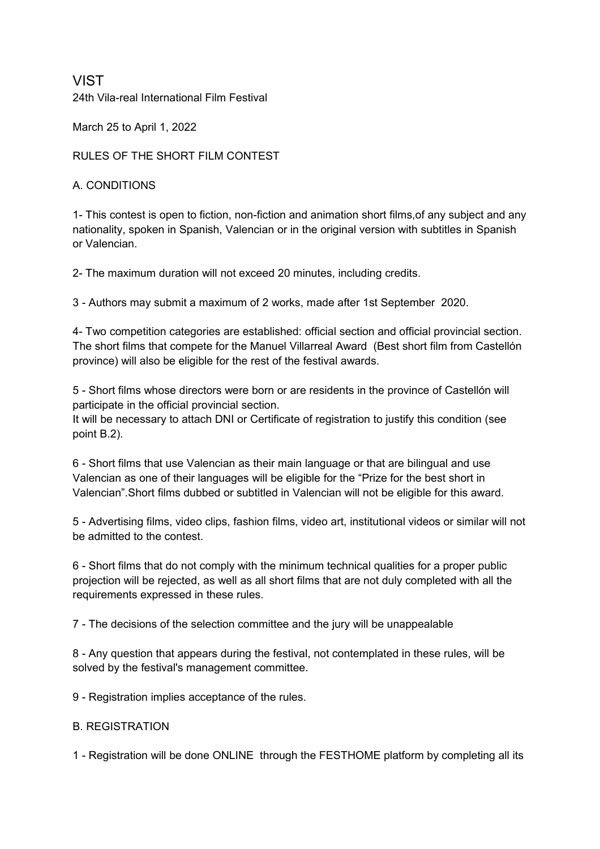# VIST 24th Vila-real International Film Festival

March 25 to April 1, 2022

RULES OF THE SHORT FILM CONTEST

## A. CONDITIONS

1- This contest is open to fiction, non-fiction and animation short films,of any subject and any nationality, spoken in Spanish, Valencian or in the original version with subtitles in Spanish or Valencian.

2- The maximum duration will not exceed 20 minutes, including credits.

3 - Authors may submit a maximum of 2 works, made after 1st September 2020.

4- Two competition categories are established: official section and official provincial section. The short films that compete for the Manuel Villarreal Award (Best short film from Castellón province) will also be eligible for the rest of the festival awards.

5 - Short films whose directors were born or are residents in the province of Castellón will participate in the official provincial section.

It will be necessary to attach DNI or Certificate of registration to justify this condition (see point B.2).

6 - Short films that use Valencian as their main language or that are bilingual and use Valencian as one of their languages will be eligible for the "Prize for the best short in Valencian".Short films dubbed or subtitled in Valencian will not be eligible for this award.

5 - Advertising films, video clips, fashion films, video art, institutional videos or similar will not be admitted to the contest.

6 - Short films that do not comply with the minimum technical qualities for a proper public projection will be rejected, as well as all short films that are not duly completed with all the requirements expressed in these rules.

7 - The decisions of the selection committee and the jury will be unappealable

8 - Any question that appears during the festival, not contemplated in these rules, will be solved by the festival's management committee.

9 - Registration implies acceptance of the rules.

### B. REGISTRATION

1 - Registration will be done ONLINE through the FESTHOME platform by completing all its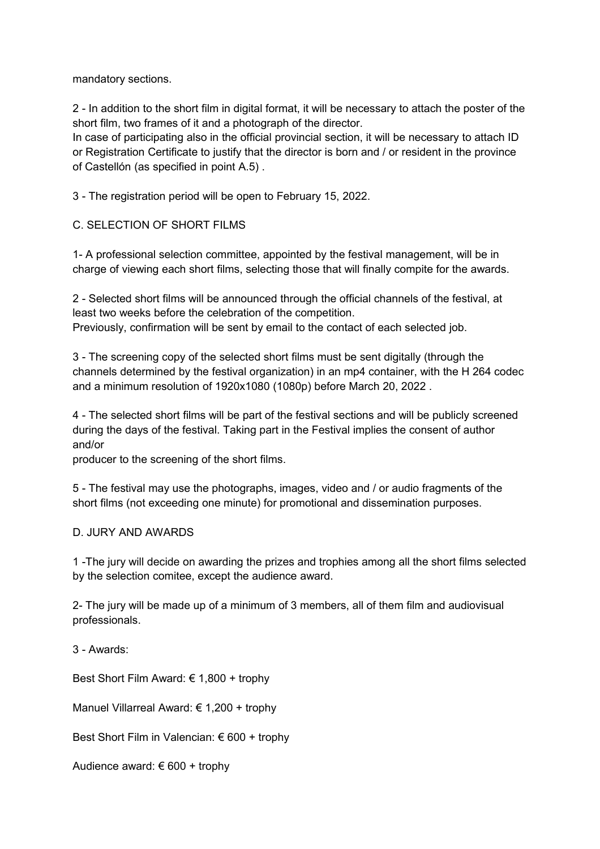mandatory sections.

2 - In addition to the short film in digital format, it will be necessary to attach the poster of the short film, two frames of it and a photograph of the director.

In case of participating also in the official provincial section, it will be necessary to attach ID or Registration Certificate to justify that the director is born and / or resident in the province of Castellón (as specified in point A.5) .

3 - The registration period will be open to February 15, 2022.

C. SELECTION OF SHORT FILMS

1- A professional selection committee, appointed by the festival management, will be in charge of viewing each short films, selecting those that will finally compite for the awards.

2 - Selected short films will be announced through the official channels of the festival, at least two weeks before the celebration of the competition. Previously, confirmation will be sent by email to the contact of each selected job.

3 - The screening copy of the selected short films must be sent digitally (through the channels determined by the festival organization) in an mp4 container, with the H 264 codec and a minimum resolution of 1920x1080 (1080p) before March 20, 2022 .

4 - The selected short films will be part of the festival sections and will be publicly screened during the days of the festival. Taking part in the Festival implies the consent of author and/or

producer to the screening of the short films.

5 - The festival may use the photographs, images, video and / or audio fragments of the short films (not exceeding one minute) for promotional and dissemination purposes.

### D. JURY AND AWARDS

1 -The jury will decide on awarding the prizes and trophies among all the short films selected by the selection comitee, except the audience award.

2- The jury will be made up of a minimum of 3 members, all of them film and audiovisual professionals.

3 - Awards:

Best Short Film Award: € 1,800 + trophy

Manuel Villarreal Award: € 1,200 + trophy

Best Short Film in Valencian: € 600 + trophy

Audience award: € 600 + trophy